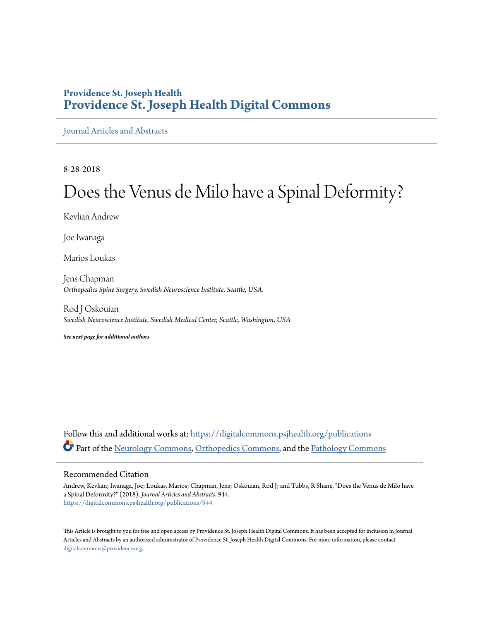#### **Providence St. Joseph Health [Providence St. Joseph Health Digital Commons](https://digitalcommons.psjhealth.org?utm_source=digitalcommons.psjhealth.org%2Fpublications%2F944&utm_medium=PDF&utm_campaign=PDFCoverPages)**

[Journal Articles and Abstracts](https://digitalcommons.psjhealth.org/publications?utm_source=digitalcommons.psjhealth.org%2Fpublications%2F944&utm_medium=PDF&utm_campaign=PDFCoverPages)

8-28-2018

# Does the Venus de Milo have a Spinal Deformity?

Kevlian Andrew

Joe Iwanaga

Marios Loukas

Jens Chapman *Orthopedics Spine Surgery, Swedish Neuroscience Institute, Seattle, USA.*

Rod J Oskouian *Swedish Neuroscience Institute, Swedish Medical Center, Seattle, Washington, USA*

*See next page for additional authors*

Follow this and additional works at: [https://digitalcommons.psjhealth.org/publications](https://digitalcommons.psjhealth.org/publications?utm_source=digitalcommons.psjhealth.org%2Fpublications%2F944&utm_medium=PDF&utm_campaign=PDFCoverPages) Part of the [Neurology Commons](http://network.bepress.com/hgg/discipline/692?utm_source=digitalcommons.psjhealth.org%2Fpublications%2F944&utm_medium=PDF&utm_campaign=PDFCoverPages), [Orthopedics Commons](http://network.bepress.com/hgg/discipline/696?utm_source=digitalcommons.psjhealth.org%2Fpublications%2F944&utm_medium=PDF&utm_campaign=PDFCoverPages), and the [Pathology Commons](http://network.bepress.com/hgg/discipline/699?utm_source=digitalcommons.psjhealth.org%2Fpublications%2F944&utm_medium=PDF&utm_campaign=PDFCoverPages)

#### Recommended Citation

Andrew, Kevlian; Iwanaga, Joe; Loukas, Marios; Chapman, Jens; Oskouian, Rod J; and Tubbs, R Shane, "Does the Venus de Milo have a Spinal Deformity?" (2018). *Journal Articles and Abstracts*. 944. [https://digitalcommons.psjhealth.org/publications/944](https://digitalcommons.psjhealth.org/publications/944?utm_source=digitalcommons.psjhealth.org%2Fpublications%2F944&utm_medium=PDF&utm_campaign=PDFCoverPages)

This Article is brought to you for free and open access by Providence St. Joseph Health Digital Commons. It has been accepted for inclusion in Journal Articles and Abstracts by an authorized administrator of Providence St. Joseph Health Digital Commons. For more information, please contact [digitalcommons@providence.org](mailto:digitalcommons@providence.org).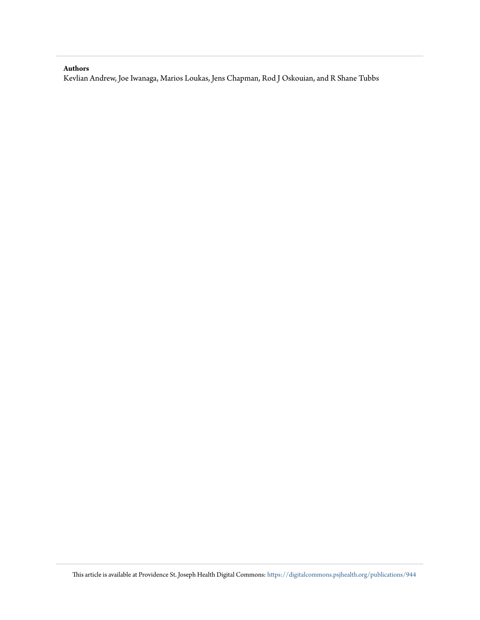#### <span id="page-1-0"></span>**Authors**

Kevlian Andrew, Joe Iwanaga, Marios Loukas, Jens Chapman, Rod J Oskouian, and R Shane Tubbs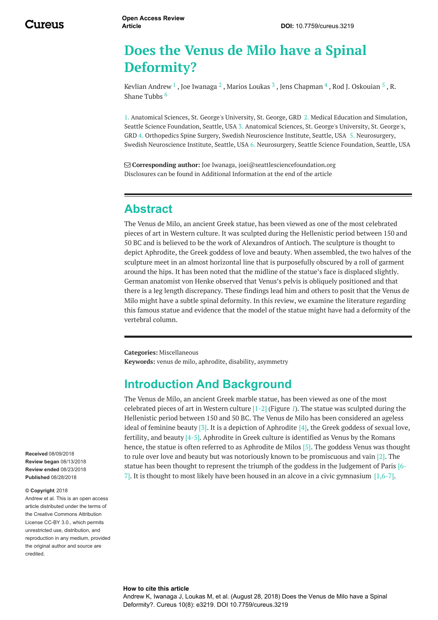# **Does the Venus de Milo have a Spinal Deformity?**

Kevlian [Andrew](https://www.cureus.com/users/101861-kevlian-andrew)  $^1$  , Joe [Iwanaga](https://www.cureus.com/users/29230-joe-iwanaga)  $^2$  , Marios [Loukas](https://www.cureus.com/users/19682-marios-loukas)  $^3$  , Jens [Chapman](https://www.cureus.com/users/19677-r-shane-tubbs)  $^4$  , Rod J. [Oskouian](https://www.cureus.com/users/15997-rod-j-oskouian)  $^5$  , R. Shane Tubbs<sup>6</sup>

1. Anatomical Sciences, St. George's University, St. George, GRD 2. Medical Education and Simulation, Seattle Science Foundation, Seattle, USA 3. Anatomical Sciences, St. George's University, St. George's, GRD 4. Orthopedics Spine Surgery, Swedish Neuroscience Institute, Seattle, USA 5. Neurosurgery, Swedish Neuroscience Institute, Seattle, USA 6. Neurosurgery, Seattle Science Foundation, Seattle, USA

 **Corresponding author:** Joe Iwanaga, joei@seattlesciencefoundation.org Disclosures can be found in Additional Information at the end of the article

## **Abstract**

The Venus de Milo, an ancient Greek statue, has been viewed as one of the most celebrated pieces of art in Western culture. It was sculpted during the Hellenistic period between 150 and 50 BC and is believed to be the work of Alexandros of Antioch. The sculpture is thought to depict Aphrodite, the Greek goddess of love and beauty. When assembled, the two halves of the sculpture meet in an almost horizontal line that is purposefully obscured by a roll of garment around the hips. It has been noted that the midline of the statue's face is displaced slightly. German anatomist von Henke observed that Venus's pelvis is obliquely positioned and that there is a leg length discrepancy. These findings lead him and others to posit that the Venus de Milo might have a subtle spinal deformity. In this review, we examine the literature regarding this famous statue and evidence that the model of the statue might have had a deformity of the vertebral column.

**Categories:** Miscellaneous **Keywords:** venus de milo, aphrodite, disability, asymmetry

## **Introduction And Background**

The Venus de Milo, an ancient Greek marble statue, has been viewed as one of the most celebrated pieces of art in Western culture [1-2] (Figure *[1](#page-1-0)*). The statue was sculpted during the Hellenistic period between 150 and 50 BC. The Venus de Milo has been considered an ageless ideal of feminine beauty [3]. It is a depiction of Aphrodite  $[4]$ , the Greek goddess of sexual love, fertility, and beauty  $[4-5]$ . Aphrodite in Greek culture is identified as Venus by the Romans hence, the statue is often referred to as Aphrodite de Milos [5]. The goddess Venus was thought to rule over love and beauty but was notoriously known to be promiscuous and vain [2]. The statue has been thought to represent the triumph of the goddess in the Judgement of Paris [6- 7]. It is thought to most likely have been housed in an alcove in a civic gymnasium  $[1,6-7]$ .

**Received** 08/09/2018 **Review began** 08/13/2018 **Review ended** 08/23/2018 **Published** 08/28/2018

#### **© Copyright** 2018

Andrew et al. This is an open access article distributed under the terms of the Creative Commons Attribution License CC-BY 3.0., which permits unrestricted use, distribution, and reproduction in any medium, provided the original author and source are credited.

#### **How to cite this article**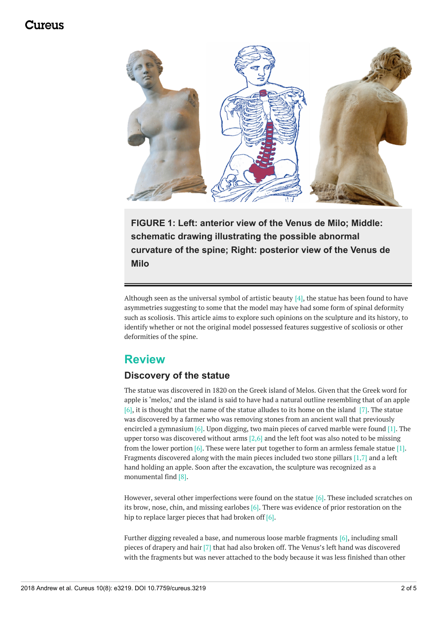### 117A119



**FIGURE 1: Left: anterior view of the Venus de Milo; Middle: schematic drawing illustrating the possible abnormal curvature of the spine; Right: posterior view of the Venus de Milo**

Although seen as the universal symbol of artistic beauty  $[4]$ , the statue has been found to have asymmetries suggesting to some that the model may have had some form of spinal deformity such as scoliosis. This article aims to explore such opinions on the sculpture and its history, to identify whether or not the original model possessed features suggestive of scoliosis or other deformities of the spine.

### **Review**

#### **Discovery of the statue**

The statue was discovered in 1820 on the Greek island of Melos. Given that the Greek word for apple is 'melos,' and the island is said to have had a natural outline resembling that of an apple [6], it is thought that the name of the statue alludes to its home on the island [7]. The statue was discovered by a farmer who was removing stones from an ancient wall that previously encircled a gymnasium [6]. Upon digging, two main pieces of carved marble were found [1]. The upper torso was discovered without arms  $[2,6]$  and the left foot was also noted to be missing from the lower portion  $[6]$ . These were later put together to form an armless female statue  $[1]$ . Fragments discovered along with the main pieces included two stone pillars [1,7] and a left hand holding an apple. Soon after the excavation, the sculpture was recognized as a monumental find [8].

However, several other imperfections were found on the statue [6]. These included scratches on its brow, nose, chin, and missing earlobes  $[6]$ . There was evidence of prior restoration on the hip to replace larger pieces that had broken off  $[6]$ .

Further digging revealed a base, and numerous loose marble fragments [6], including small pieces of drapery and hair [7] that had also broken off. The Venus's left hand was discovered with the fragments but was never attached to the body because it was less finished than other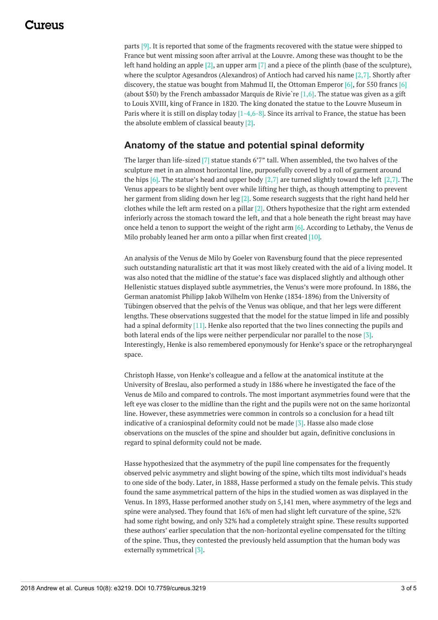### 1174116

parts [9]. It is reported that some of the fragments recovered with the statue were shipped to France but went missing soon after arrival at the Louvre. Among these was thought to be the left hand holding an apple  $[2]$ , an upper arm  $[7]$  and a piece of the plinth (base of the sculpture), where the sculptor Agesandros (Alexandros) of Antioch had carved his name [2,7]. Shortly after discovery, the statue was bought from Mahmud II, the Ottoman Emperor  $[6]$ , for 550 francs  $[6]$ (about \$50) by the French ambassador Marquis de Rivie're  $[1,6]$ . The statue was given as a gift to Louis XVIII, king of France in 1820. The king donated the statue to the Louvre Museum in Paris where it is still on display today [1-4,6-8]. Since its arrival to France, the statue has been the absolute emblem of classical beauty [2].

#### **Anatomy of the statue and potential spinal deformity**

The larger than life-sized [7] statue stands 6'7" tall. When assembled, the two halves of the sculpture met in an almost horizontal line, purposefully covered by a roll of garment around the hips [6]. The statue's head and upper body  $[2,7]$  are turned slightly toward the left  $[2,7]$ . The Venus appears to be slightly bent over while lifting her thigh, as though attempting to prevent her garment from sliding down her leg [2]. Some research suggests that the right hand held her clothes while the left arm rested on a pillar [2]. Others hypothesize that the right arm extended inferiorly across the stomach toward the left, and that a hole beneath the right breast may have once held a tenon to support the weight of the right arm [6]. According to Lethaby, the Venus de Milo probably leaned her arm onto a pillar when first created [10].

An analysis of the Venus de Milo by Goeler von Ravensburg found that the piece represented such outstanding naturalistic art that it was most likely created with the aid of a living model. It was also noted that the midline of the statue's face was displaced slightly and although other Hellenistic statues displayed subtle asymmetries, the Venus's were more profound. In 1886, the German anatomist Philipp Jakob Wilhelm von Henke (1834-1896) from the University of Tübingen observed that the pelvis of the Venus was oblique, and that her legs were different lengths. These observations suggested that the model for the statue limped in life and possibly had a spinal deformity [11]. Henke also reported that the two lines connecting the pupils and both lateral ends of the lips were neither perpendicular nor parallel to the nose [3]. Interestingly, Henke is also remembered eponymously for Henke's space or the retropharyngeal space.

Christoph Hasse, von Henke's colleague and a fellow at the anatomical institute at the University of Breslau, also performed a study in 1886 where he investigated the face of the Venus de Milo and compared to controls. The most important asymmetries found were that the left eye was closer to the midline than the right and the pupils were not on the same horizontal line. However, these asymmetries were common in controls so a conclusion for a head tilt indicative of a craniospinal deformity could not be made [3]. Hasse also made close observations on the muscles of the spine and shoulder but again, definitive conclusions in regard to spinal deformity could not be made.

Hasse hypothesized that the asymmetry of the pupil line compensates for the frequently observed pelvic asymmetry and slight bowing of the spine, which tilts most individual's heads to one side of the body. Later, in 1888, Hasse performed a study on the female pelvis. This study found the same asymmetrical pattern of the hips in the studied women as was displayed in the Venus. In 1893, Hasse performed another study on 5,141 men, where asymmetry of the legs and spine were analysed. They found that 16% of men had slight left curvature of the spine, 52% had some right bowing, and only 32% had a completely straight spine. These results supported these authors' earlier speculation that the non-horizontal eyeline compensated for the tilting of the spine. Thus, they contested the previously held assumption that the human body was externally symmetrical [3].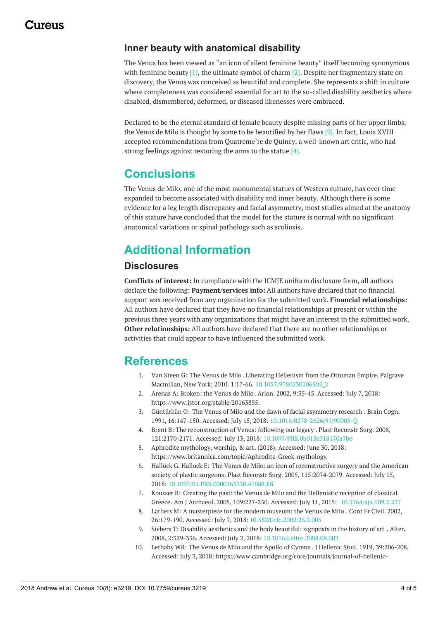#### **Inner beauty with anatomical disability**

The Venus has been viewed as "an icon of silent feminine beauty" itself becoming synonymous with feminine beauty  $[1]$ , the ultimate symbol of charm  $[2]$ . Despite her fragmentary state on discovery, the Venus was conceived as beautiful and complete. She represents a shift in culture where completeness was considered essential for art to the so-called disability aesthetics where disabled, dismembered, deformed, or diseased likenesses were embraced.

Declared to be the eternal standard of female beauty despite missing parts of her upper limbs, the Venus de Milo is thought by some to be beautified by her flaws [9]. In fact, Louis XVIII accepted recommendations from Quatreme`re de Quincy, a well-known art critic, who had strong feelings against restoring the arms to the statue [4].

## **Conclusions**

The Venus de Milo, one of the most monumental statues of Western culture, has over time expanded to become associated with disability and inner beauty. Although there is some evidence for a leg length discrepancy and facial asymmetry, most studies aimed at the anatomy of this stature have concluded that the model for the stature is normal with no significant anatomical variations or spinal pathology such as scoliosis.

# **Additional Information**

#### **Disclosures**

**Conflicts of interest:** In compliance with the ICMJE uniform disclosure form, all authors declare the following: **Payment/services info:** All authors have declared that no financial support was received from any organization for the submitted work. **Financial relationships:** All authors have declared that they have no financial relationships at present or within the previous three years with any organizations that might have an interest in the submitted work. **Other relationships:** All authors have declared that there are no other relationships or activities that could appear to have influenced the submitted work.

## **References**

- 1. Van Steen G: The [Venus](https://dx.doi.org/10.1057/9780230106505_2) de Milo . Liberating Hellenism from the Ottoman Empire. Palgrave Macmillan, New York; 2010. 1:17-66. [10.1057/9780230106505\\_2](https://dx.doi.org/10.1057/9780230106505_2)
- 2. Arenas A: [Broken:](https://www.jstor.org/stable/20163855) the Venus de Milo. Arion. 2002, 9:35-45. Accessed: July 7, 2018: <https://www.jstor.org/stable/20163855>.
- 3. Güntürkün O: The Venus of Milo and the dawn of facial [asymmetry](https://dx.doi.org/10.1016/0278-2626(91)90003-Q) research . Brain Cogn. 1991, 16:147-150. Accessed: July 15, 2018: [10.1016/0278-2626\(91\)90003-Q](https://dx.doi.org/10.1016/0278-2626(91)90003-Q)
- 4. Brent B: The [reconstruction](https://dx.doi.org/10.1097/PRS.0b013e318170a7b6) of Venus: following our legacy . Plast Reconstr Surg. 2008, 121:2170-2171. Accessed: July 13, 2018: [10.1097/PRS.0b013e318170a7b6](https://dx.doi.org/10.1097/PRS.0b013e318170a7b6)
- 5. Aphrodite [mythology,](https://www.britannica.com/topic/Aphrodite-Greek-mythology) worship, & art. (2018). Accessed: June 30, 2018: <https://www.britannica.com/topic/Aphrodite-Greek-mythology>.
- 6. Hallock G, Hallock E: The Venus de Milo: an icon of reconstructive surgery and the American society of plastic surgeons. Plast Reconstr Surg. 2005, [115:2074-2079.](https://dx.doi.org/10.1097/01.PRS.0000163330.47088.E8) Accessed: July 15, 2018: [10.1097/01.PRS.0000163330.47088.E8](https://dx.doi.org/10.1097/01.PRS.0000163330.47088.E8)
- 7. Kousser R: Creating the past: the Venus de Milo and the Hellenistic reception of classical Greece. Am J Archaeol. 2005, 109:227-250. Accessed: July 11, 2015: [10.3764/aja.109.2.227](https://dx.doi.org/10.3764/aja.109.2.227)
- 8. Lathers M: A [masterpiece](https://dx.doi.org/10.3828/cfc.2002.26.2.005) for the modern museum: the Venus de Milo . Cont Fr Civil. 2002, 26:179-190. Accessed: July 7, 2018: [10.3828/cfc.2002.26.2.005](https://dx.doi.org/10.3828/cfc.2002.26.2.005)
- 9. Siebers T: Disability [aesthetics](https://dx.doi.org/10.1016/j.alter.2008.08.002) and the body beautiful: signposts in the history of art . Alter. 2008, 2:329-336. Accessed: July 2, 2018: [10.1016/j.alter.2008.08.002](https://dx.doi.org/10.1016/j.alter.2008.08.002)
- 10. Lethaby WR: The Venus de Milo and the Apollo of [Cyrene](https://www.cambridge.org/core/journals/journal-of-hellenic-studies/article/venus-de-milo-and-the-apollo-of-cyrene/F64D0A6BF68CD22290A7CD6CA449E8D4) . J Hellenic Stud. 1919, 39:206-208. Accessed: July 3, 2018: [https://www.cambridge.org/core/journals/journal-of-hellenic-](https://www.cambridge.org/core/journals/journal-of-hellenic-studies/article/venus-de-milo-and-the-apollo-of-cyrene/F64D0A6BF68CD22290A7CD6CA449E8D4)